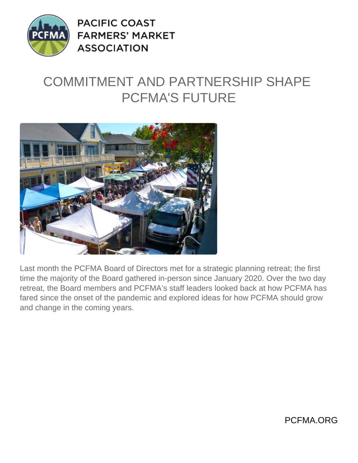

**PACIFIC COAST FARMERS' MARKET ASSOCIATION** 

## COMMITMENT AND PARTNERSHIP SHAPE PCFMA'S FUTURE



Last month the PCFMA Board of Directors met for a strategic planning retreat; the first time the majority of the Board gathered in-person since January 2020. Over the two day retreat, the Board members and PCFMA's staff leaders looked back at how PCFMA has fared since the onset of the pandemic and explored ideas for how PCFMA should grow and change in the coming years.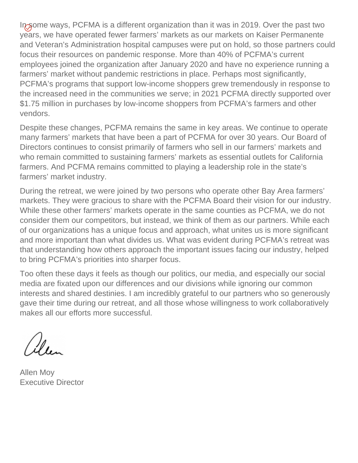In some ways, PCFMA is a different organization than it was in 2019. Over the past two years, we have operated fewer farmers' markets as our markets on Kaiser Permanente and Veteran's Administration hospital campuses were put on hold, so those partners could focus their resources on pandemic response. More than 40% of PCFMA's current employees joined the organization after January 2020 and have no experience running a farmers' market without pandemic restrictions in place. Perhaps most significantly, PCFMA's programs that support low-income shoppers grew tremendously in response to the increased need in the communities we serve; in 2021 PCFMA directly supported over \$1.75 million in purchases by low-income shoppers from PCFMA's farmers and other vendors.

Despite these changes, PCFMA remains the same in key areas. We continue to operate many farmers' markets that have been a part of PCFMA for over 30 years. Our Board of Directors continues to consist primarily of farmers who sell in our farmers' markets and who remain committed to sustaining farmers' markets as essential outlets for California farmers. And PCFMA remains committed to playing a leadership role in the state's farmers' market industry.

During the retreat, we were joined by two persons who operate other Bay Area farmers' markets. They were gracious to share with the PCFMA Board their vision for our industry. While these other farmers' markets operate in the same counties as PCFMA, we do not consider them our competitors, but instead, we think of them as our partners. While each of our organizations has a unique focus and approach, what unites us is more significant and more important than what divides us. What was evident during PCFMA's retreat was that understanding how others approach the important issues facing our industry, helped to bring PCFMA's priorities into sharper focus.

Too often these days it feels as though our politics, our media, and especially our social media are fixated upon our differences and our divisions while ignoring our common interests and shared destinies. I am incredibly grateful to our partners who so generously gave their time during our retreat, and all those whose willingness to work collaboratively makes all our efforts more successful.

Ulen

Allen Moy Executive Director